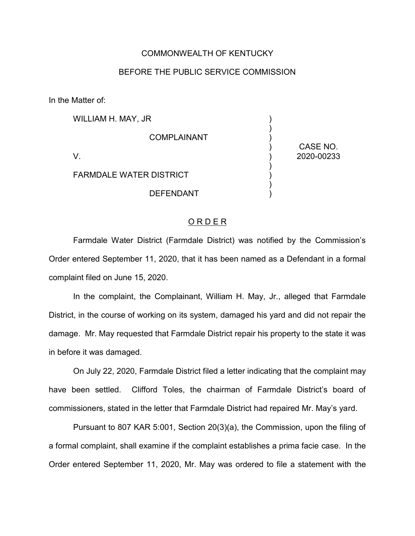## COMMONWEALTH OF KENTUCKY

## BEFORE THE PUBLIC SERVICE COMMISSION

In the Matter of:

| WILLIAM H. MAY, JR             |                        |
|--------------------------------|------------------------|
| <b>COMPLAINANT</b>             |                        |
|                                | CASE NO.<br>2020-00233 |
| <b>FARMDALE WATER DISTRICT</b> |                        |
| <b>DEFENDANT</b>               |                        |

## ORDER

Farmdale Water District (Farmdale District) was notified by the Commission's Order entered September 11, 2020, that it has been named as a Defendant in a formal complaint filed on June 15, 2020.

In the complaint, the Complainant, William H. May, Jr., alleged that Farmdale District, in the course of working on its system, damaged his yard and did not repair the damage. Mr. May requested that Farmdale District repair his property to the state it was in before it was damaged.

On July 22, 2020, Farmdale District filed a letter indicating that the complaint may have been settled. Clifford Toles, the chairman of Farmdale District's board of commissioners, stated in the letter that Farmdale District had repaired Mr. May's yard.

Pursuant to 807 KAR 5:001, Section 20(3)(a), the Commission, upon the filing of a formal complaint, shall examine if the complaint establishes a prima facie case. In the Order entered September 11, 2020, Mr. May was ordered to file a statement with the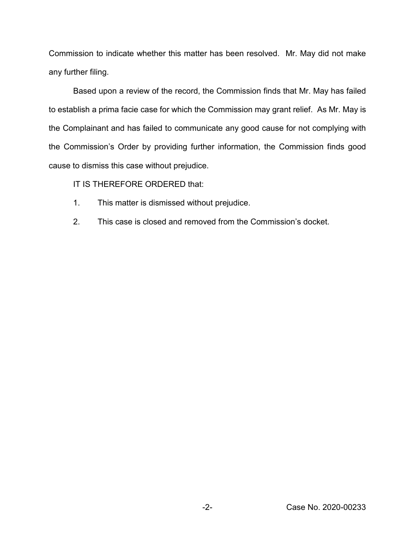Commission to indicate whether this matter has been resolved. Mr. May did not make any further filing.

Based upon a review of the record, the Commission finds that Mr. May has failed to establish a prima facie case for which the Commission may grant relief. As Mr. May is the Complainant and has failed to communicate any good cause for not complying with the Commission's Order by providing further information, the Commission finds good cause to dismiss this case without prejudice.

IT IS THEREFORE ORDERED that:

- 1. This matter is dismissed without prejudice.
- 2. This case is closed and removed from the Commission's docket.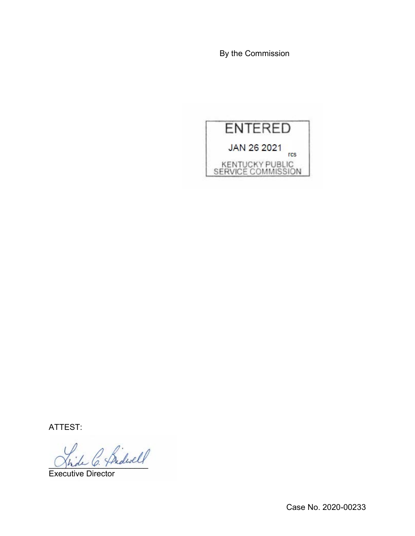By the Commission



ATTEST:

L C. Pridwell

Executive Director

Case No. 2020-00233